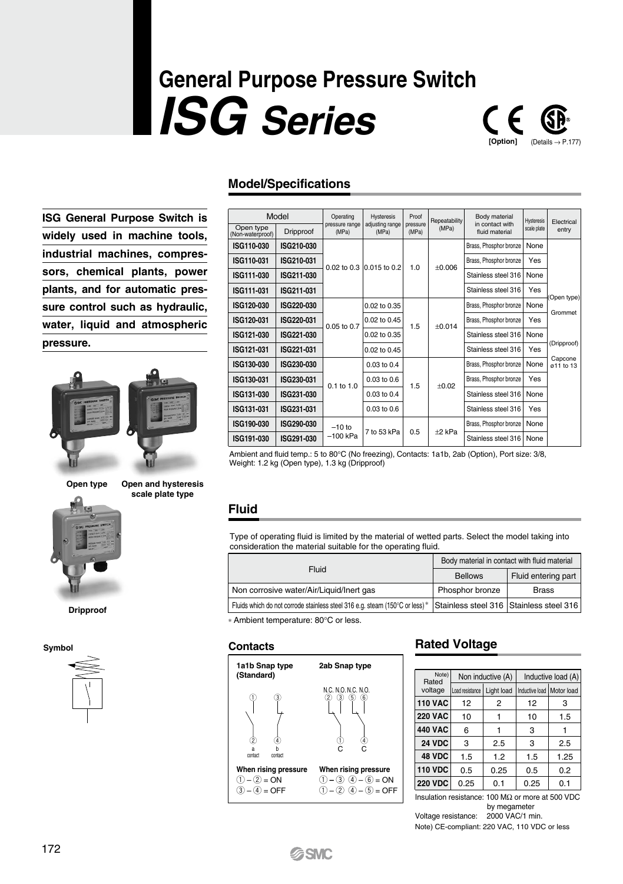# **General Purpose Pressure Switch** *ISG Series*



**ISG General Purpose Switch is widely used in machine tools, industrial machines, compressors, chemical plants, power plants, and for automatic pressure control such as hydraulic, water, liquid and atmospheric pressure.**





**Dripproof**

**Symbol**

**scale plate type**

### **Model/Specifications**

|                               | Model      | Operating               | <b>Hysteresis</b>        | Proof             | Repeatability          | Body material<br>in contact with | Hysteresis             | Flectrical            |      |
|-------------------------------|------------|-------------------------|--------------------------|-------------------|------------------------|----------------------------------|------------------------|-----------------------|------|
| Open type<br>(Non-waterproof) | Dripproof  | pressure range<br>(MPa) | adjusting range<br>(MPa) | pressure<br>(MPa) | (MPa)                  | fluid material                   | scale plate            | entry                 |      |
| ISG110-030                    | ISG210-030 |                         | 0.015 to 0.2             |                   | Brass, Phosphor bronze | None                             |                        |                       |      |
| ISG110-031                    | ISG210-031 | $0.02$ to $0.3$         |                          | 1.0               | $+0.006$               | Brass, Phosphor bronze           | Yes                    |                       |      |
| ISG111-030                    | ISG211-030 |                         |                          |                   |                        |                                  |                        | Stainless steel 316   | None |
| ISG111-031                    | ISG211-031 |                         |                          |                   |                        | Stainless steel 316              | <b>Yes</b>             |                       |      |
| ISG120-030                    | ISG220-030 |                         | 0.02 to 0.35             |                   | $+0.014$               | Brass, Phosphor bronze           | None                   | Open type)<br>Grommet |      |
| ISG120-031                    | ISG220-031 | $0.05$ to 0.7           | 0.02 to 0.45             |                   |                        | 1.5                              | Brass, Phosphor bronze | Yes                   |      |
| ISG121-030                    | ISG221-030 |                         | $0.02$ to $0.35$         |                   |                        |                                  | Stainless steel 316    | None                  |      |
| ISG121-031                    | ISG221-031 |                         | 0.02 to 0.45             |                   |                        | Stainless steel 316              | Yes                    | (Dripproof)           |      |
| ISG130-030                    | ISG230-030 |                         | $0.03$ to $0.4$          |                   |                        | Brass, Phosphor bronze           | None                   | Capcone<br>a11 to 13  |      |
| ISG130-031                    | ISG230-031 | $0.1$ to $1.0$          | $0.03$ to $0.6$          | 1.5               | $+0.02$                | Brass, Phosphor bronze           | Yes                    |                       |      |
| ISG131-030                    | ISG231-030 |                         | $0.03$ to $0.4$          |                   |                        | Stainless steel 316              | None                   |                       |      |
| ISG131-031                    | ISG231-031 |                         | $0.03$ to 0.6            |                   |                        | Stainless steel 316              | Yes                    |                       |      |
| ISG190-030                    | ISG290-030 | $-10$ to                | 7 to 53 kPa              | 0.5               | $+2$ kPa               | Brass, Phosphor bronze           | None                   |                       |      |
| ISG191-030                    | ISG291-030 | $-100$ kPa              |                          |                   |                        | Stainless steel 316              | None                   |                       |      |

Ambient and fluid temp.: 5 to 80°C (No freezing), Contacts: 1a1b, 2ab (Option), Port size: 3/8, Weight: 1.2 kg (Open type), 1.3 kg (Dripproof)

### **Fluid**

Type of operating fluid is limited by the material of wetted parts. Select the model taking into consideration the material suitable for the operating fluid.

|                                                                                                                     | Body material in contact with fluid material |                     |  |
|---------------------------------------------------------------------------------------------------------------------|----------------------------------------------|---------------------|--|
| Fluid                                                                                                               | <b>Bellows</b>                               | Fluid entering part |  |
| Non corrosive water/Air/Liquid/Inert gas                                                                            | Phosphor bronze                              | <b>Brass</b>        |  |
| Fluids which do not corrode stainless steel 316 e.g. steam (150°C or less)* Stainless steel 316 Stainless steel 316 |                                              |                     |  |

∗ Ambient temperature: 80°C or less.

### **Contacts**



### **Rated Voltage**

| Note)<br>Rated |                 | Non inductive (A) | Inductive load (A)          |      |  |
|----------------|-----------------|-------------------|-----------------------------|------|--|
| voltage        | Load resistance | Light load        | Inductive load   Motor load |      |  |
| <b>110 VAC</b> | 12              | 2                 | 12                          | 3    |  |
| <b>220 VAC</b> | 10              |                   | 10                          | 1.5  |  |
| <b>440 VAC</b> | 6               |                   | 3                           |      |  |
| 24 VDC         | 3               | 2.5               | 3                           | 2.5  |  |
| 48 VDC         | 1.5             | 1.2               | 1.5                         | 1.25 |  |
| <b>110 VDC</b> | 0.5             | 0.25              | 0.5                         | 0.2  |  |
| <b>220 VDC</b> | 0.25            | 0.1               | 0.25                        | 0.1  |  |

Ω or more at 500 VDC by megameter Voltage resistance: 2000 VAC/1 min.

Note) CE-compliant: 220 VAC, 110 VDC or less

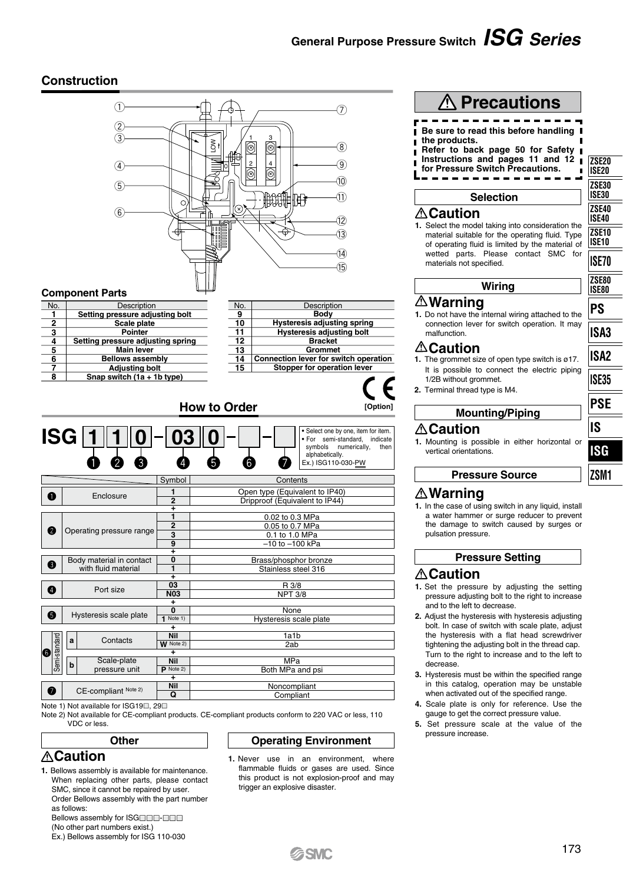## **General Purpose Pressure Switch** *ISG Series*

### **Construction**



Note 2) Not available for CE-compliant products. CE-compliant products conform to 220 VAC or less, 110 VDC or less.

### **Operating Environment**

- **Caution**
- **1.** Bellows assembly is available for maintenance. When replacing other parts, please contact SMC, since it cannot be repaired by user. Order Bellows assembly with the part number as follows:

**Other**

Bellows assembly for ISGOOD-OOD (No other part numbers exist.)

Ex.) Bellows assembly for ISG 110-030

**1.** Never use in an environment, where flammable fluids or gases are used. Since this product is not explosion-proof and may trigger an explosive disaster

**SSMC** 

**Wiring Mounting/Piping 1.** Mounting is possible in either horizontal or **1.** Do not have the internal wiring attached to the connection lever for switch operation. It may **1.** The grommet size of open type switch is ø17. It is possible to connect the electric piping **ZSE80 ISE80 ISA3**

**ZSE30 ISE30**

**ZSE40 ISE40 ZSE10 ISE10 ISE70**

**PS**

**ZSE20 ISE20**

**1.** In the case of using switch in any liquid, install a water hammer or surge reducer to prevent the damage to switch caused by surges or

### **Pressure Setting**

- **1.** Set the pressure by adjusting the setting pressure adjusting bolt to the right to increase and to the left to decrease.
- **2.** Adjust the hysteresis with hysteresis adjusting bolt. In case of switch with scale plate, adjust the hysteresis with a flat head screwdriver tightening the adjusting bolt in the thread cap. Turn to the right to increase and to the left to
- **3.** Hysteresis must be within the specified range in this catalog, operation may be unstable when activated out of the specified range.
- **4.** Scale plate is only for reference. Use the gauge to get the correct pressure value.
- **5.** Set pressure scale at the value of the pressure increase.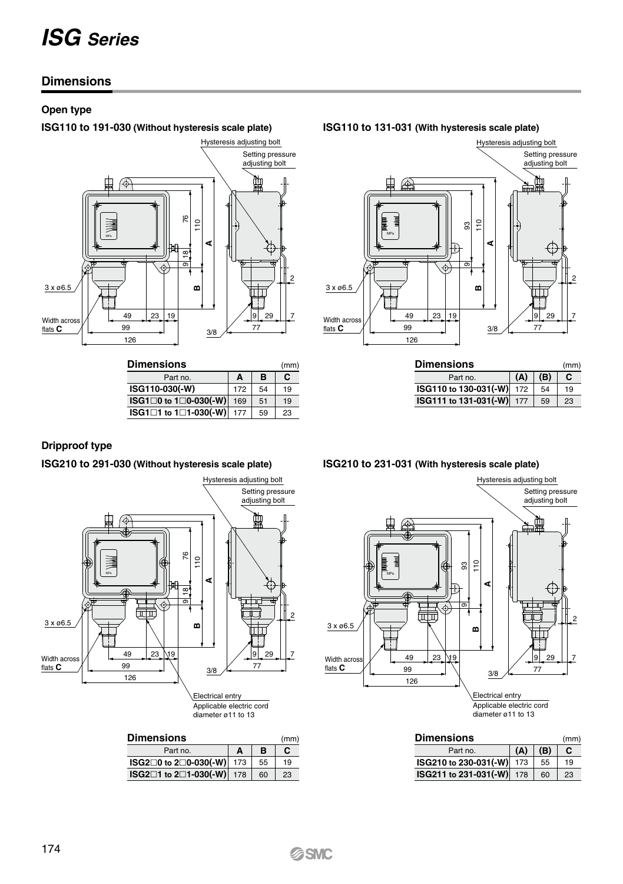### **Dimensions**

### **Open type**

**ISG110 to 191-030 (Without hysteresis scale plate) ISG110 to 131-031 (With hysteresis scale plate)**



| <b>Dimensions</b>     |     |    | (mm) |
|-----------------------|-----|----|------|
| Part no.              | A   | в  | С    |
| ISG110-030(-W)        | 172 | 54 | 19   |
| ISG1□0 to 1□0-030(-W) | 169 | 51 | 19   |
| ISG1□1 to 1□1-030(-W) | 177 | 59 | 23   |



| <b>Dimensions</b><br>(mm) |     |     |    |  |
|---------------------------|-----|-----|----|--|
| Part no.                  | (A) | (B) |    |  |
| ISG110 to 130-031(-W) 172 |     | 54  | 19 |  |
| ISG111 to 131-031(-W) 177 |     | 59  | 23 |  |

### **Dripproof type**

**ISG210 to 291-030 (Without hysteresis scale plate) ISG210 to 231-031 (With hysteresis scale plate)**



### **Dimensions** Part no. (mm) **ISG20 to 20-030(-W) ISG21 to 21-030(-W)** 178 **A** 173 **B** 55 60 **C** 19 23



| <b>Dimensions</b><br>(mm) |     |     |    |  |
|---------------------------|-----|-----|----|--|
| Part no.                  | (A) | (B) |    |  |
| ISG210 to 230-031(-W) 173 |     | 55  | 19 |  |
| ISG211 to 231-031(-W) 178 |     | 60  | 23 |  |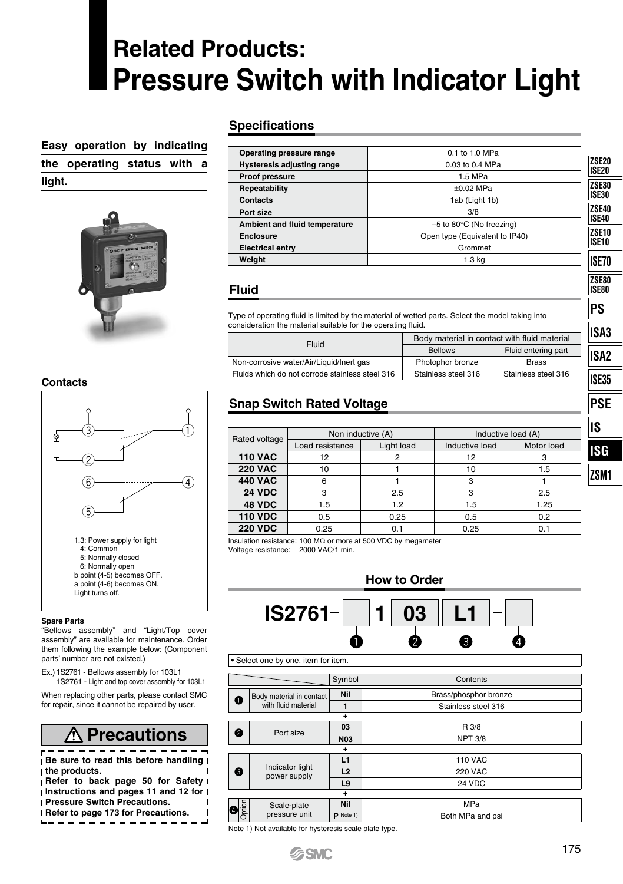## **Related Products: Pressure Switch with Indicator Light**

**Easy operation by indicating the operating status with a light.**



### 0.1 to 1.0 MPa 0.03 to 0.4 MPa 1.5 MPa ±0.02 MPa 1ab (Light 1b) 3/8 –5 to 80°C (No freezing) Open type (Equivalent to IP40) Grommet 1.3 kg **Operating pressure range Hysteresis adjusting range Proof pressure Repeatability Contacts Port size Ambient and fluid temperature Enclosure Electrical entry Weight**

### **Fluid**

**Specifications**

Type of operating fluid is limited by the material of wetted parts. Select the model taking into consideration the material suitable for the operating fluid.

| Fluid                                           | Body material in contact with fluid material |                     |  |
|-------------------------------------------------|----------------------------------------------|---------------------|--|
|                                                 | <b>Bellows</b>                               | Fluid entering part |  |
| Non-corrosive water/Air/Liquid/Inert gas        | Photophor bronze                             | <b>Brass</b>        |  |
| Fluids which do not corrode stainless steel 316 | Stainless steel 316                          | Stainless steel 316 |  |

### **Snap Switch Rated Voltage**

|                | Non inductive (A) |            | Inductive load (A) | IIS        |      |
|----------------|-------------------|------------|--------------------|------------|------|
| Rated voltage  | Load resistance   | Light load | Inductive load     | Motor load | ISG  |
| <b>110 VAC</b> | 12                |            | 12                 |            |      |
| <b>220 VAC</b> | 10                |            | 10                 | 1.5        | ZSM1 |
| <b>440 VAC</b> | 6                 |            |                    |            |      |
| <b>24 VDC</b>  | 3                 | 2.5        |                    | 2.5        |      |
| 48 VDC         | 1.5               | 1.2        | 1.5                | 1.25       |      |
| <b>110 VDC</b> | 0.5               | 0.25       | 0.5                | 0.2        |      |
| <b>220 VDC</b> | 0.25              | 0.1        | 0.25               | 0.1        |      |

Insulation resistance: 100 MΩ or more at 500 VDC by megameter Voltage resistance: 2000 VAC/1 min.



|             |   |                                 | Symbol         | Contents              |
|-------------|---|---------------------------------|----------------|-----------------------|
| Ω           |   | Body material in contact        | Nil            | Brass/phosphor bronze |
|             |   | with fluid material             | 1              | Stainless steel 316   |
|             |   |                                 | ÷              |                       |
|             | 0 | Port size                       | 03             | R 3/8                 |
|             |   |                                 | <b>N03</b>     | <b>NPT 3/8</b>        |
|             |   |                                 | ٠              |                       |
|             |   | Indicator light<br>power supply | L1             | <b>110 VAC</b>        |
|             | ❸ |                                 | L2             | <b>220 VAC</b>        |
|             |   |                                 | L <sub>9</sub> | 24 VDC                |
| ÷           |   |                                 |                |                       |
|             |   | Scale-plate                     | Nil            | <b>MPa</b>            |
| Option<br>Ø |   | pressure unit                   | $P$ Note 1)    | Both MPa and psi      |

2

ø

2

Note 1) Not available for hysteresis scale plate type.

### **Contacts**



### **Spare Parts**

"Bellows assembly" and "Light/Top cover assembly" are available for maintenance. Order them following the example below: (Component parts' number are not existed.)

Ex.) 1S2761 - Bellows assembly for 103L1 1S2761 - Light and top cover assembly for 103L1

When replacing other parts, please contact SMC for repair, since it cannot be repaired by user.

| <b><i>A</i></b> Precautions                                                       |
|-----------------------------------------------------------------------------------|
| Be sure to read this before handling<br>the products.                             |
| Refer to back page 50 for Safety                                                  |
| I Instructions and pages 11 and 12 for I<br><b>I Pressure Switch Precautions.</b> |

**Refer to page 173 for Precautions.** . . . . . . . . . . . . . . . . . **ZSE30 ISE30 ZSE20 ISE20 ZSE40 ISE40 ZSE10 ISE10 ISE70 ZSE80 ISE80 PS ISA2 ISE35 ISA3 PSE IS ISG**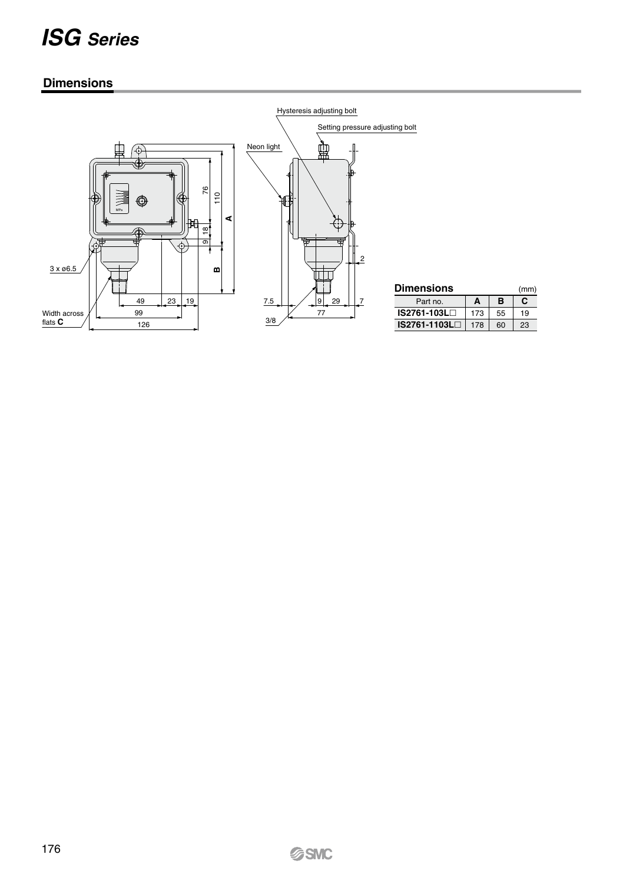### **Dimensions**